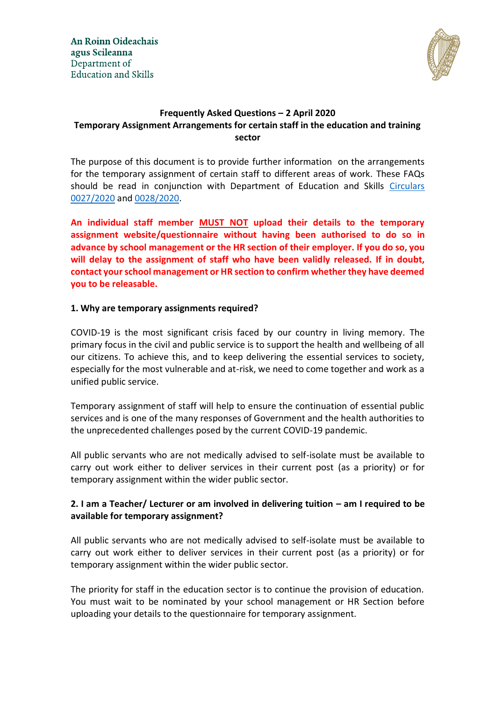

# **Frequently Asked Questions – 2 April 2020 Temporary Assignment Arrangements for certain staff in the education and training sector**

The purpose of this document is to provide further information on the arrangements for the temporary assignment of certain staff to different areas of work. These FAQs should be read in conjunction with Department of Education and Skills [Circulars](https://www.education.ie/en/Circulars-and-Forms/Active-Circulars/cl0027_2020.pdf)  [0027/2020](https://www.education.ie/en/Circulars-and-Forms/Active-Circulars/cl0027_2020.pdf) and [0028/2020.](https://www.education.ie/en/Circulars-and-Forms/Active-Circulars/cl0028_2020.pdf)

**An individual staff member MUST NOT upload their details to the temporary assignment website/questionnaire without having been authorised to do so in advance by school management or the HR section of their employer. If you do so, you will delay to the assignment of staff who have been validly released. If in doubt, contact your school management or HR section to confirm whether they have deemed you to be releasable.**

## **1. Why are temporary assignments required?**

COVID-19 is the most significant crisis faced by our country in living memory. The primary focus in the civil and public service is to support the health and wellbeing of all our citizens. To achieve this, and to keep delivering the essential services to society, especially for the most vulnerable and at-risk, we need to come together and work as a unified public service.

Temporary assignment of staff will help to ensure the continuation of essential public services and is one of the many responses of Government and the health authorities to the unprecedented challenges posed by the current COVID-19 pandemic.

All public servants who are not medically advised to self-isolate must be available to carry out work either to deliver services in their current post (as a priority) or for temporary assignment within the wider public sector.

# **2. I am a Teacher/ Lecturer or am involved in delivering tuition – am I required to be available for temporary assignment?**

All public servants who are not medically advised to self-isolate must be available to carry out work either to deliver services in their current post (as a priority) or for temporary assignment within the wider public sector.

The priority for staff in the education sector is to continue the provision of education. You must wait to be nominated by your school management or HR Section before uploading your details to the questionnaire for temporary assignment.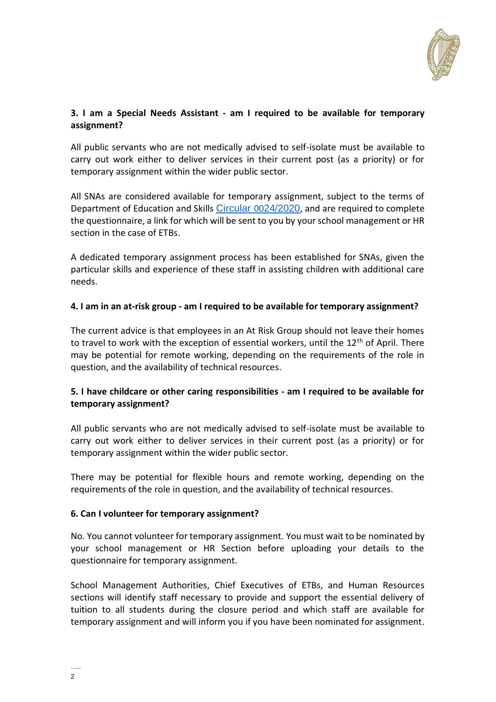

## **3. I am a Special Needs Assistant - am I required to be available for temporary assignment?**

All public servants who are not medically advised to self-isolate must be available to carry out work either to deliver services in their current post (as a priority) or for temporary assignment within the wider public sector.

All SNAs are considered available for temporary assignment, subject to the terms of Department of Education and Skills [Circular](https://www.education.ie/en/Circulars-and-Forms/Active-Circulars/cl0024_2020.pdf) 0024/2020, and are required to complete the questionnaire, a link for which will be sent to you by your school management or HR section in the case of ETBs.

A dedicated temporary assignment process has been established for SNAs, given the particular skills and experience of these staff in assisting children with additional care needs.

## **4. I am in an at-risk group - am I required to be available for temporary assignment?**

The current advice is that employees in an At Risk Group should not leave their homes to travel to work with the exception of essential workers, until the 12<sup>th</sup> of April. There may be potential for remote working, depending on the requirements of the role in question, and the availability of technical resources.

## **5. I have childcare or other caring responsibilities - am I required to be available for temporary assignment?**

All public servants who are not medically advised to self-isolate must be available to carry out work either to deliver services in their current post (as a priority) or for temporary assignment within the wider public sector.

There may be potential for flexible hours and remote working, depending on the requirements of the role in question, and the availability of technical resources.

## **6. Can I volunteer for temporary assignment?**

No. You cannot volunteer for temporary assignment. You must wait to be nominated by your school management or HR Section before uploading your details to the questionnaire for temporary assignment.

School Management Authorities, Chief Executives of ETBs, and Human Resources sections will identify staff necessary to provide and support the essential delivery of tuition to all students during the closure period and which staff are available for temporary assignment and will inform you if you have been nominated for assignment.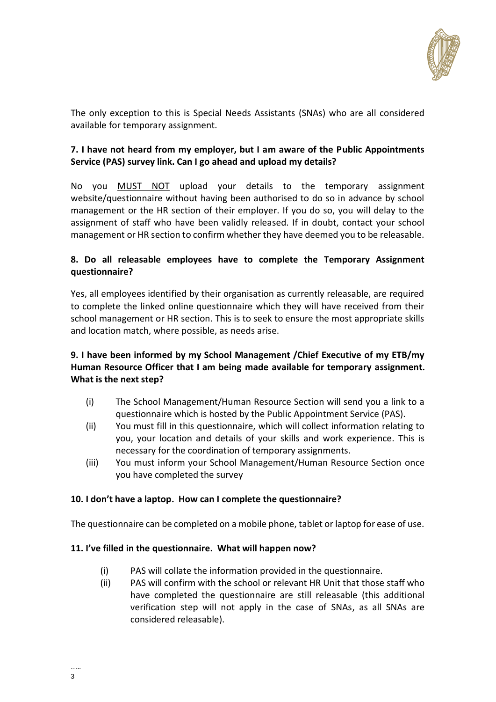

The only exception to this is Special Needs Assistants (SNAs) who are all considered available for temporary assignment.

# **7. I have not heard from my employer, but I am aware of the Public Appointments Service (PAS) survey link. Can I go ahead and upload my details?**

No you MUST NOT upload your details to the temporary assignment website/questionnaire without having been authorised to do so in advance by school management or the HR section of their employer. If you do so, you will delay to the assignment of staff who have been validly released. If in doubt, contact your school management or HR section to confirm whether they have deemed you to be releasable.

# **8. Do all releasable employees have to complete the Temporary Assignment questionnaire?**

Yes, all employees identified by their organisation as currently releasable, are required to complete the linked online questionnaire which they will have received from their school management or HR section. This is to seek to ensure the most appropriate skills and location match, where possible, as needs arise.

# **9. I have been informed by my School Management /Chief Executive of my ETB/my Human Resource Officer that I am being made available for temporary assignment. What is the next step?**

- (i) The School Management/Human Resource Section will send you a link to a questionnaire which is hosted by the Public Appointment Service (PAS).
- (ii) You must fill in this questionnaire, which will collect information relating to you, your location and details of your skills and work experience. This is necessary for the coordination of temporary assignments.
- (iii) You must inform your School Management/Human Resource Section once you have completed the survey

# **10. I don't have a laptop. How can I complete the questionnaire?**

The questionnaire can be completed on a mobile phone, tablet or laptop for ease of use.

## **11. I've filled in the questionnaire. What will happen now?**

- (i) PAS will collate the information provided in the questionnaire.
- (ii) PAS will confirm with the school or relevant HR Unit that those staff who have completed the questionnaire are still releasable (this additional verification step will not apply in the case of SNAs, as all SNAs are considered releasable).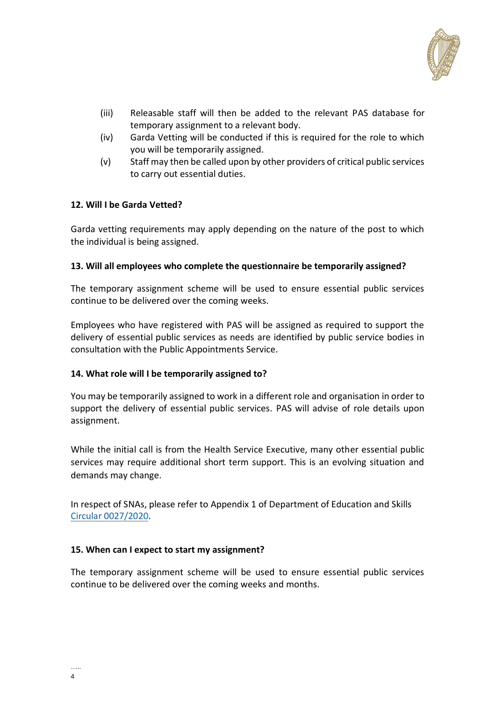

- (iii) Releasable staff will then be added to the relevant PAS database for temporary assignment to a relevant body.
- (iv) Garda Vetting will be conducted if this is required for the role to which you will be temporarily assigned.
- (v) Staff may then be called upon by other providers of critical public services to carry out essential duties.

### **12. Will I be Garda Vetted?**

Garda vetting requirements may apply depending on the nature of the post to which the individual is being assigned.

### **13. Will all employees who complete the questionnaire be temporarily assigned?**

The temporary assignment scheme will be used to ensure essential public services continue to be delivered over the coming weeks.

Employees who have registered with PAS will be assigned as required to support the delivery of essential public services as needs are identified by public service bodies in consultation with the Public Appointments Service.

#### **14. What role will I be temporarily assigned to?**

You may be temporarily assigned to work in a different role and organisation in order to support the delivery of essential public services. PAS will advise of role details upon assignment.

While the initial call is from the Health Service Executive, many other essential public services may require additional short term support. This is an evolving situation and demands may change.

In respect of SNAs, please refer to Appendix 1 of Department of Education and Skills [Circular 0027/2020.](https://www.education.ie/en/Circulars-and-Forms/Active-Circulars/cl0027_2020.pdf)

#### **15. When can I expect to start my assignment?**

The temporary assignment scheme will be used to ensure essential public services continue to be delivered over the coming weeks and months.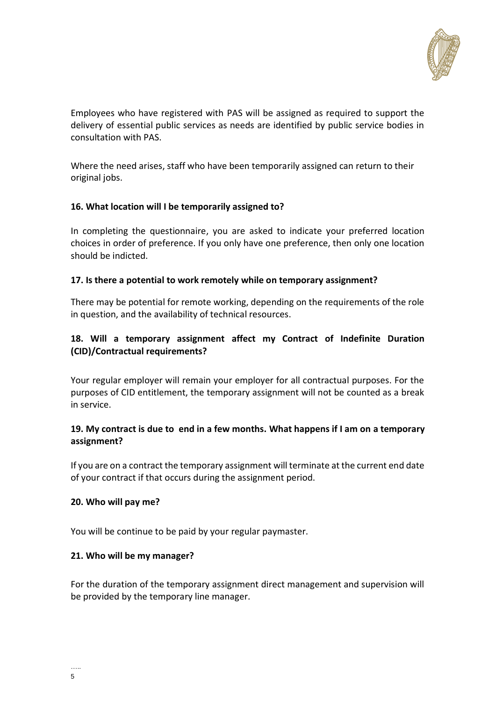

Employees who have registered with PAS will be assigned as required to support the delivery of essential public services as needs are identified by public service bodies in consultation with PAS.

Where the need arises, staff who have been temporarily assigned can return to their original jobs.

### **16. What location will I be temporarily assigned to?**

In completing the questionnaire, you are asked to indicate your preferred location choices in order of preference. If you only have one preference, then only one location should be indicted.

#### **17. Is there a potential to work remotely while on temporary assignment?**

There may be potential for remote working, depending on the requirements of the role in question, and the availability of technical resources.

# **18. Will a temporary assignment affect my Contract of Indefinite Duration (CID)/Contractual requirements?**

Your regular employer will remain your employer for all contractual purposes. For the purposes of CID entitlement, the temporary assignment will not be counted as a break in service.

## **19. My contract is due to end in a few months. What happens if I am on a temporary assignment?**

If you are on a contract the temporary assignment will terminate at the current end date of your contract if that occurs during the assignment period.

#### **20. Who will pay me?**

You will be continue to be paid by your regular paymaster.

#### **21. Who will be my manager?**

For the duration of the temporary assignment direct management and supervision will be provided by the temporary line manager.